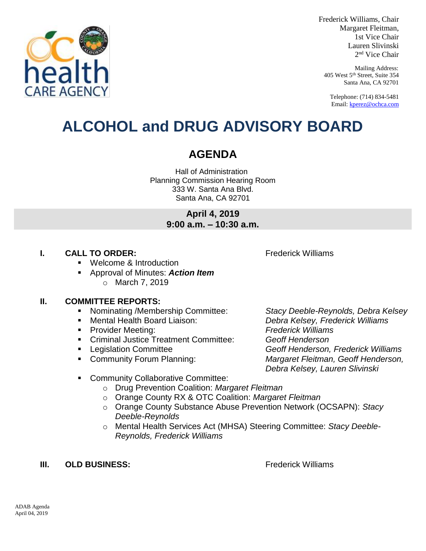

Frederick Williams, Chair Margaret Fleitman, 1st Vice Chair Lauren Slivinski 2 nd Vice Chair

Mailing Address: 405 West 5th Street, Suite 354 Santa Ana, CA 92701

Telephone: (714) 834-5481 Email[: kperez@ochca.com](mailto:kperez@ochca.com)

# **ALCOHOL and DRUG ADVISORY BOARD**

# **AGENDA**

Hall of Administration Planning Commission Hearing Room 333 W. Santa Ana Blvd. Santa Ana, CA 92701

> **April 4, 2019 9:00 a.m. – 10:30 a.m.**

# **I. CALL TO ORDER:** Frederick Williams

Welcome & Introduction

 Approval of Minutes: *Action Item* o March 7, 2019

# **II. COMMITTEE REPORTS:**

- Nominating /Membership Committee: *Stacy Deeble-Reynolds, Debra Kelsey*
- 
- Provider Meeting: *Frederick Williams*
- Criminal Justice Treatment Committee: *Geoff Henderson*
- 
- 

 Mental Health Board Liaison: *Debra Kelsey, Frederick Williams* Legislation Committee *Geoff Henderson, Frederick Williams*  Community Forum Planning: *Margaret Fleitman, Geoff Henderson, Debra Kelsey, Lauren Slivinski*

- **EXECOMMUNITY Collaborative Committee:** 
	- o Drug Prevention Coalition: *Margaret Fleitman*
	- o Orange County RX & OTC Coalition: *Margaret Fleitman*
	- o Orange County Substance Abuse Prevention Network (OCSAPN): *Stacy Deeble-Reynolds*
	- o Mental Health Services Act (MHSA) Steering Committee: *Stacy Deeble-Reynolds, Frederick Williams*

# **III. OLD BUSINESS:** The Contract of the Contract of Trederick Williams